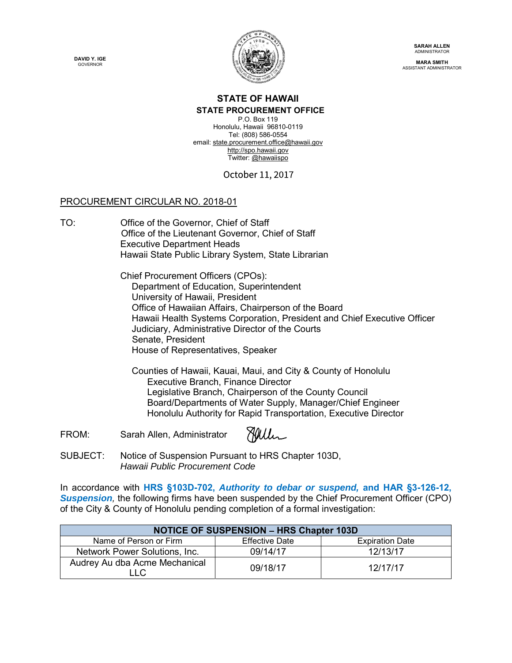**DAVID Y. IGE GOVERNOR** 



**SARAH ALLEN** ADMINISTRATOR

**MARA SMITH** ASSISTANT ADMINISTRATOR

## **STATE OF HAWAII**

**STATE PROCUREMENT OFFICE** 

P.O. Box 119 Honolulu, Hawaii 96810-0119 Tel: (808) 586-0554 email: state.procurement.office@hawaii.gov http://spo.hawaii.gov Twitter: @hawaiispo

October 11, 2017

## PROCUREMENT CIRCULAR NO. 2018-01

TO: Office of the Governor, Chief of Staff Office of the Lieutenant Governor, Chief of Staff Executive Department Heads Hawaii State Public Library System, State Librarian

> Chief Procurement Officers (CPOs): Department of Education, Superintendent University of Hawaii, President Office of Hawaiian Affairs, Chairperson of the Board Hawaii Health Systems Corporation, President and Chief Executive Officer Judiciary, Administrative Director of the Courts Senate, President House of Representatives, Speaker

Counties of Hawaii, Kauai, Maui, and City & County of Honolulu Executive Branch, Finance Director Legislative Branch, Chairperson of the County Council Board/Departments of Water Supply, Manager/Chief Engineer Honolulu Authority for Rapid Transportation, Executive Director

Miller FROM: Sarah Allen, Administrator

SUBJECT: Notice of Suspension Pursuant to HRS Chapter 103D, *Hawaii Public Procurement Code*

In accordance with **HRS §103D-702,** *Authority to debar or suspend,* **and HAR §3-126-12, Suspension**, the following firms have been suspended by the Chief Procurement Officer (CPO) of the City & County of Honolulu pending completion of a formal investigation:

| <b>NOTICE OF SUSPENSION - HRS Chapter 103D</b> |                |                        |
|------------------------------------------------|----------------|------------------------|
| Name of Person or Firm                         | Effective Date | <b>Expiration Date</b> |
| Network Power Solutions, Inc.                  | 09/14/17       | 12/13/17               |
| Audrey Au dba Acme Mechanical<br>LLC.          | 09/18/17       | 12/17/17               |